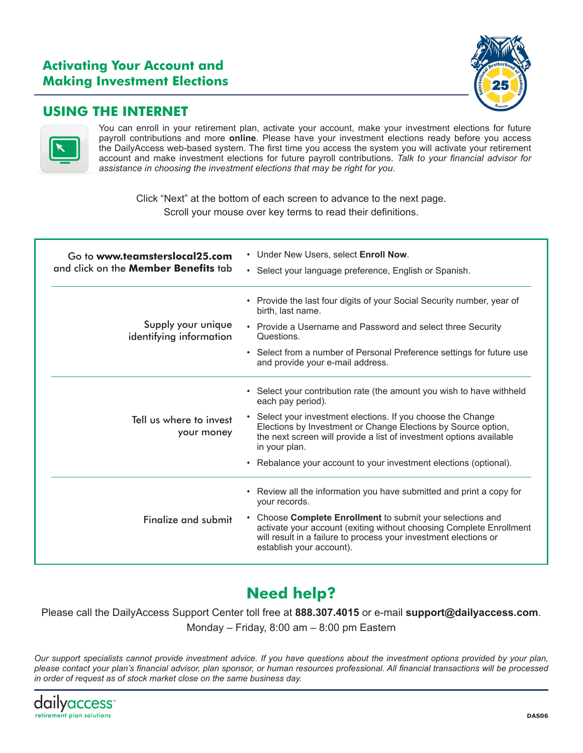#### **Activating Your Account and Making Investment Elections**



### **Using the Internet**



You can enroll in your retirement plan, activate your account, make your investment elections for future payroll contributions and more **online**. Please have your investment elections ready before you access the DailyAccess web-based system. The first time you access the system you will activate your retirement account and make investment elections for future payroll contributions. *Talk to your financial advisor for assistance in choosing the investment elections that may be right for you*.

Click "Next" at the bottom of each screen to advance to the next page. Scroll your mouse over key terms to read their definitions.

| • Select your language preference, English or Spanish.                                                                                                                                              |
|-----------------------------------------------------------------------------------------------------------------------------------------------------------------------------------------------------|
| Provide the last four digits of your Social Security number, year of                                                                                                                                |
| • Provide a Username and Password and select three Security                                                                                                                                         |
| Select from a number of Personal Preference settings for future use                                                                                                                                 |
| • Select your contribution rate (the amount you wish to have withheld                                                                                                                               |
| Select your investment elections. If you choose the Change<br>Elections by Investment or Change Elections by Source option,<br>the next screen will provide a list of investment options available  |
| • Rebalance your account to your investment elections (optional).                                                                                                                                   |
| Review all the information you have submitted and print a copy for                                                                                                                                  |
| Choose Complete Enrollment to submit your selections and<br>activate your account (exiting without choosing Complete Enrollment<br>will result in a failure to process your investment elections or |
|                                                                                                                                                                                                     |

# **Need help?**

Please call the DailyAccess Support Center toll free at **888.307.4015** or e-mail **support@dailyaccess.com**. Monday – Friday, 8:00 am – 8:00 pm Eastern

*Our support specialists cannot provide investment advice. If you have questions about the investment options provided by your plan, please contact your plan's financial advisor, plan sponsor, or human resources professional. All financial transactions will be processed in order of request as of stock market close on the same business day.*